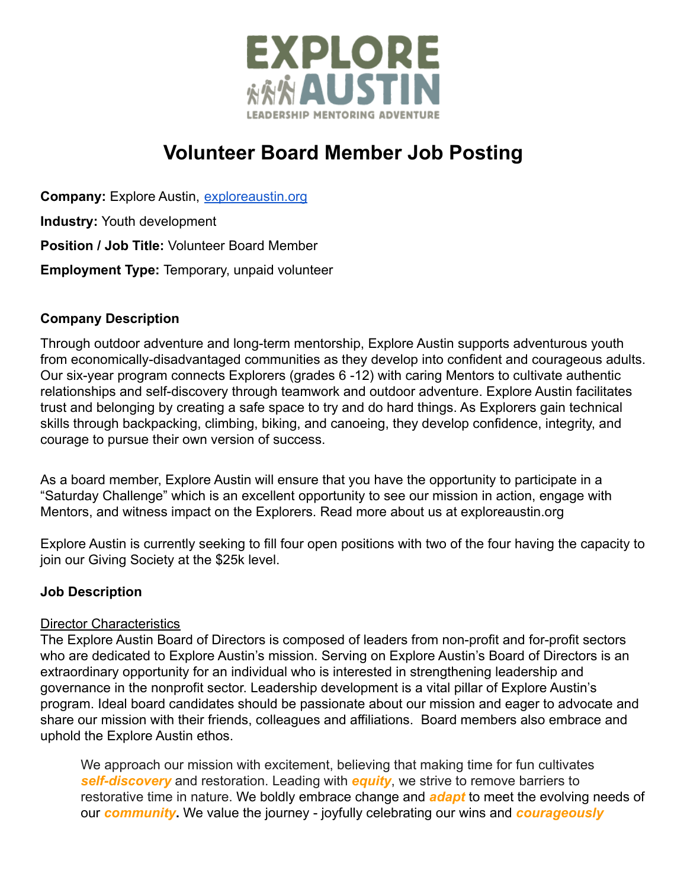

# **Volunteer Board Member Job Posting**

**Company:** Explore Austin, [exploreaustin.org](https://exploreaustin.org/) **Industry:** Youth development **Position / Job Title:** Volunteer Board Member **Employment Type:** Temporary, unpaid volunteer

## **Company Description**

Through outdoor adventure and long-term mentorship, Explore Austin supports adventurous youth from economically-disadvantaged communities as they develop into confident and courageous adults. Our six-year program connects Explorers (grades 6 -12) with caring Mentors to cultivate authentic relationships and self-discovery through teamwork and outdoor adventure. Explore Austin facilitates trust and belonging by creating a safe space to try and do hard things. As Explorers gain technical skills through backpacking, climbing, biking, and canoeing, they develop confidence, integrity, and courage to pursue their own version of success.

As a board member, Explore Austin will ensure that you have the opportunity to participate in a "Saturday Challenge" which is an excellent opportunity to see our mission in action, engage with Mentors, and witness impact on the Explorers. Read more about us at exploreaustin.org

Explore Austin is currently seeking to fill four open positions with two of the four having the capacity to join our Giving Society at the \$25k level.

### **Job Description**

### Director Characteristics

The Explore Austin Board of Directors is composed of leaders from non-profit and for-profit sectors who are dedicated to Explore Austin's mission. Serving on Explore Austin's Board of Directors is an extraordinary opportunity for an individual who is interested in strengthening leadership and governance in the nonprofit sector. Leadership development is a vital pillar of Explore Austin's program. Ideal board candidates should be passionate about our mission and eager to advocate and share our mission with their friends, colleagues and affiliations. Board members also embrace and uphold the Explore Austin ethos.

We approach our mission with excitement, believing that making time for fun cultivates *self-discovery* and restoration. Leading with *equity*, we strive to remove barriers to restorative time in nature. We boldly embrace change and *adapt* to meet the evolving needs of our *community***.** We value the journey - joyfully celebrating our wins and *courageously*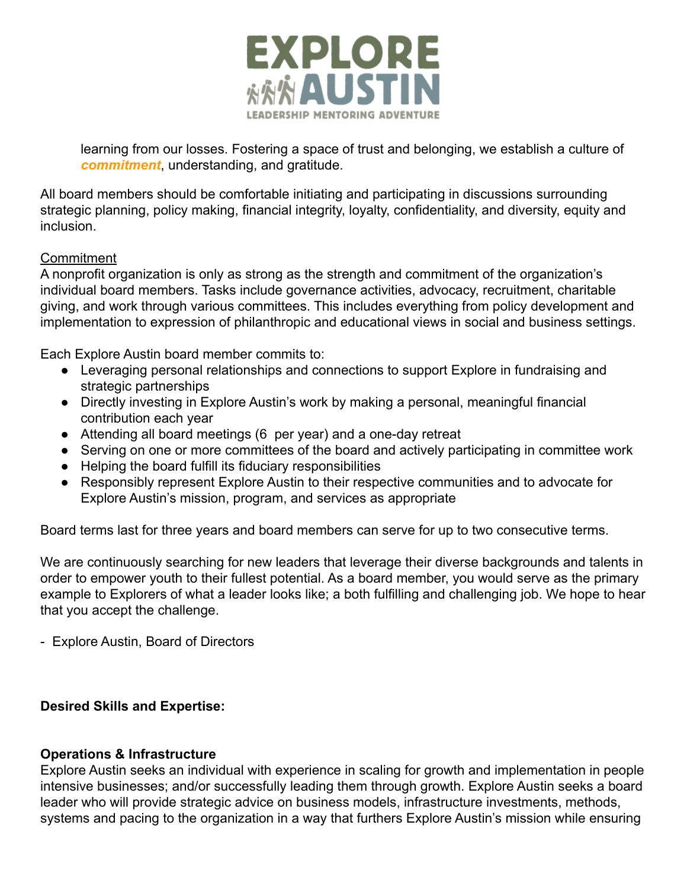

learning from our losses. Fostering a space of trust and belonging, we establish a culture of *commitment*, understanding, and gratitude.

All board members should be comfortable initiating and participating in discussions surrounding strategic planning, policy making, financial integrity, loyalty, confidentiality, and diversity, equity and inclusion.

## **Commitment**

A nonprofit organization is only as strong as the strength and commitment of the organization's individual board members. Tasks include governance activities, advocacy, recruitment, charitable giving, and work through various committees. This includes everything from policy development and implementation to expression of philanthropic and educational views in social and business settings.

Each Explore Austin board member commits to:

- Leveraging personal relationships and connections to support Explore in fundraising and strategic partnerships
- Directly investing in Explore Austin's work by making a personal, meaningful financial contribution each year
- Attending all board meetings (6 per year) and a one-day retreat
- Serving on one or more committees of the board and actively participating in committee work
- Helping the board fulfill its fiduciary responsibilities
- Responsibly represent Explore Austin to their respective communities and to advocate for Explore Austin's mission, program, and services as appropriate

Board terms last for three years and board members can serve for up to two consecutive terms.

We are continuously searching for new leaders that leverage their diverse backgrounds and talents in order to empower youth to their fullest potential. As a board member, you would serve as the primary example to Explorers of what a leader looks like; a both fulfilling and challenging job. We hope to hear that you accept the challenge.

- Explore Austin, Board of Directors

## **Desired Skills and Expertise:**

### **Operations & Infrastructure**

Explore Austin seeks an individual with experience in scaling for growth and implementation in people intensive businesses; and/or successfully leading them through growth. Explore Austin seeks a board leader who will provide strategic advice on business models, infrastructure investments, methods, systems and pacing to the organization in a way that furthers Explore Austin's mission while ensuring